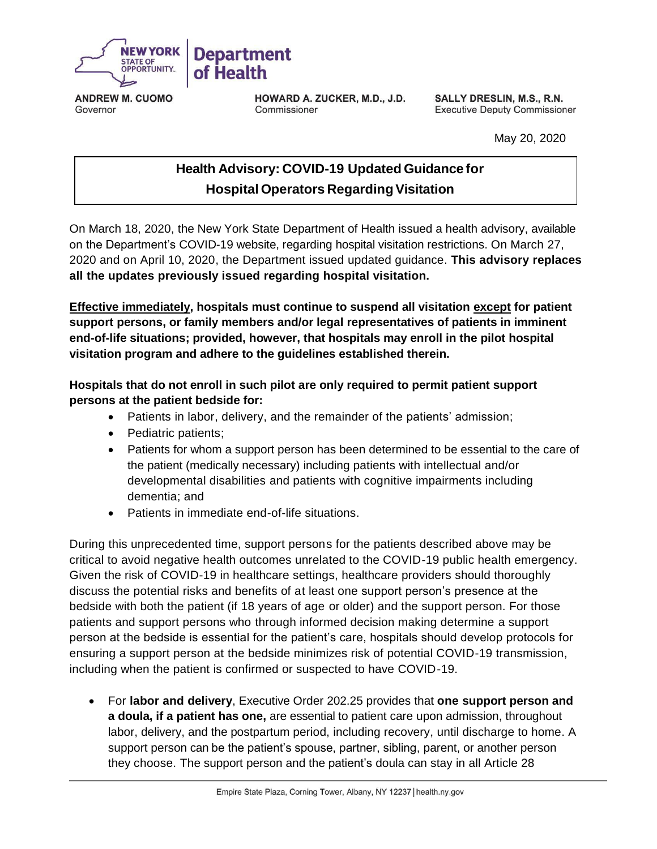

**ANDREW M. CUOMO** Governor

HOWARD A. ZUCKER, M.D., J.D. Commissioner

SALLY DRESLIN, M.S., R.N. **Executive Deputy Commissioner** 

May 20, 2020

## **Health Advisory: COVID-19 Updated Guidance for Hospital Operators Regarding Visitation**

On March 18, 2020, the New York State Department of Health issued a health advisory, available on the Department's COVID-19 website, regarding hospital visitation restrictions. On March 27, 2020 and on April 10, 2020, the Department issued updated guidance. **This advisory replaces all the updates previously issued regarding hospital visitation.**

**Effective immediately, hospitals must continue to suspend all visitation except for patient support persons, or family members and/or legal representatives of patients in imminent end-of-life situations; provided, however, that hospitals may enroll in the pilot hospital visitation program and adhere to the guidelines established therein.**

## **Hospitals that do not enroll in such pilot are only required to permit patient support persons at the patient bedside for:**

- Patients in labor, delivery, and the remainder of the patients' admission;
- Pediatric patients;
- Patients for whom a support person has been determined to be essential to the care of the patient (medically necessary) including patients with intellectual and/or developmental disabilities and patients with cognitive impairments including dementia; and
- Patients in immediate end-of-life situations.

During this unprecedented time, support persons for the patients described above may be critical to avoid negative health outcomes unrelated to the COVID-19 public health emergency. Given the risk of COVID-19 in healthcare settings, healthcare providers should thoroughly discuss the potential risks and benefits of at least one support person's presence at the bedside with both the patient (if 18 years of age or older) and the support person. For those patients and support persons who through informed decision making determine a support person at the bedside is essential for the patient's care, hospitals should develop protocols for ensuring a support person at the bedside minimizes risk of potential COVID-19 transmission, including when the patient is confirmed or suspected to have COVID-19.

 For **labor and delivery**, Executive Order 202.25 provides that **one support person and a doula, if a patient has one,** are essential to patient care upon admission, throughout labor, delivery, and the postpartum period, including recovery, until discharge to home. A support person can be the patient's spouse, partner, sibling, parent, or another person they choose. The support person and the patient's doula can stay in all Article 28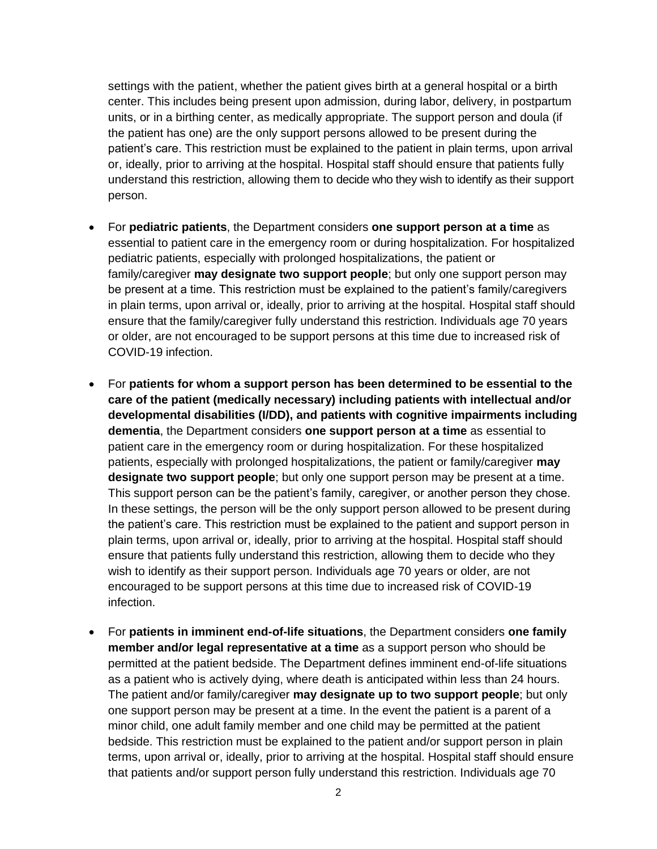settings with the patient, whether the patient gives birth at a general hospital or a birth center. This includes being present upon admission, during labor, delivery, in postpartum units, or in a birthing center, as medically appropriate. The support person and doula (if the patient has one) are the only support persons allowed to be present during the patient's care. This restriction must be explained to the patient in plain terms, upon arrival or, ideally, prior to arriving at the hospital. Hospital staff should ensure that patients fully understand this restriction, allowing them to decide who they wish to identify as their support person.

- For **pediatric patients**, the Department considers **one support person at a time** as essential to patient care in the emergency room or during hospitalization. For hospitalized pediatric patients, especially with prolonged hospitalizations, the patient or family/caregiver **may designate two support people**; but only one support person may be present at a time. This restriction must be explained to the patient's family/caregivers in plain terms, upon arrival or, ideally, prior to arriving at the hospital. Hospital staff should ensure that the family/caregiver fully understand this restriction. Individuals age 70 years or older, are not encouraged to be support persons at this time due to increased risk of COVID-19 infection.
- For **patients for whom a support person has been determined to be essential to the care of the patient (medically necessary) including patients with intellectual and/or developmental disabilities (I/DD), and patients with cognitive impairments including dementia**, the Department considers **one support person at a time** as essential to patient care in the emergency room or during hospitalization. For these hospitalized patients, especially with prolonged hospitalizations, the patient or family/caregiver **may designate two support people**; but only one support person may be present at a time. This support person can be the patient's family, caregiver, or another person they chose. In these settings, the person will be the only support person allowed to be present during the patient's care. This restriction must be explained to the patient and support person in plain terms, upon arrival or, ideally, prior to arriving at the hospital. Hospital staff should ensure that patients fully understand this restriction, allowing them to decide who they wish to identify as their support person. Individuals age 70 years or older, are not encouraged to be support persons at this time due to increased risk of COVID-19 infection.
- For **patients in imminent end-of-life situations**, the Department considers **one family member and/or legal representative at a time** as a support person who should be permitted at the patient bedside. The Department defines imminent end-of-life situations as a patient who is actively dying, where death is anticipated within less than 24 hours. The patient and/or family/caregiver **may designate up to two support people**; but only one support person may be present at a time. In the event the patient is a parent of a minor child, one adult family member and one child may be permitted at the patient bedside. This restriction must be explained to the patient and/or support person in plain terms, upon arrival or, ideally, prior to arriving at the hospital. Hospital staff should ensure that patients and/or support person fully understand this restriction. Individuals age 70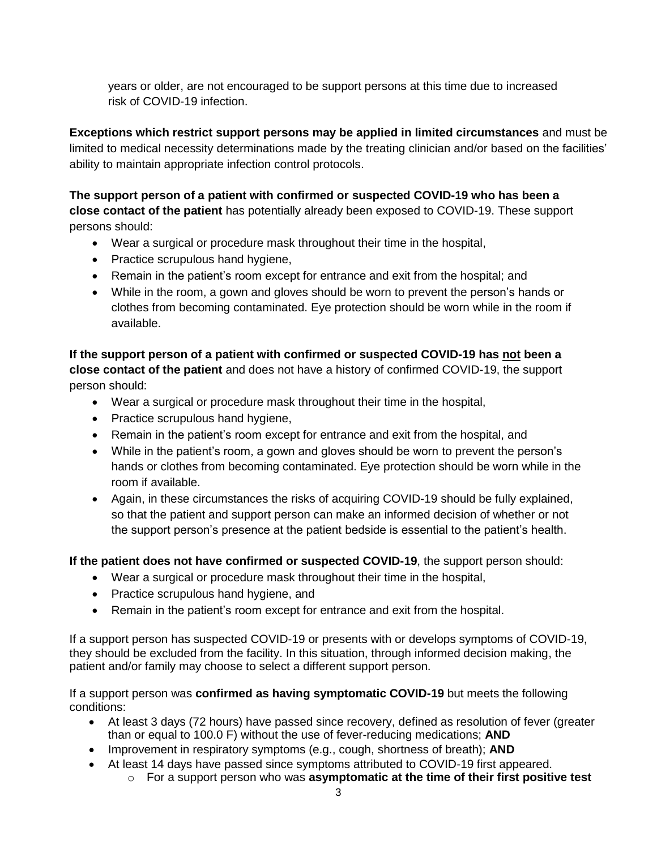years or older, are not encouraged to be support persons at this time due to increased risk of COVID-19 infection.

**Exceptions which restrict support persons may be applied in limited circumstances** and must be limited to medical necessity determinations made by the treating clinician and/or based on the facilities' ability to maintain appropriate infection control protocols.

**The support person of a patient with confirmed or suspected COVID-19 who has been a close contact of the patient** has potentially already been exposed to COVID-19. These support persons should:

- Wear a surgical or procedure mask throughout their time in the hospital,
- Practice scrupulous hand hygiene,
- Remain in the patient's room except for entrance and exit from the hospital; and
- While in the room, a gown and gloves should be worn to prevent the person's hands or clothes from becoming contaminated. Eye protection should be worn while in the room if available.

**If the support person of a patient with confirmed or suspected COVID-19 has not been a close contact of the patient** and does not have a history of confirmed COVID-19, the support person should:

- Wear a surgical or procedure mask throughout their time in the hospital,
- Practice scrupulous hand hygiene,
- Remain in the patient's room except for entrance and exit from the hospital, and
- While in the patient's room, a gown and gloves should be worn to prevent the person's hands or clothes from becoming contaminated. Eye protection should be worn while in the room if available.
- Again, in these circumstances the risks of acquiring COVID-19 should be fully explained, so that the patient and support person can make an informed decision of whether or not the support person's presence at the patient bedside is essential to the patient's health.

**If the patient does not have confirmed or suspected COVID-19**, the support person should:

- Wear a surgical or procedure mask throughout their time in the hospital,
- Practice scrupulous hand hygiene, and
- Remain in the patient's room except for entrance and exit from the hospital.

If a support person has suspected COVID-19 or presents with or develops symptoms of COVID-19, they should be excluded from the facility. In this situation, through informed decision making, the patient and/or family may choose to select a different support person.

If a support person was **confirmed as having symptomatic COVID-19** but meets the following conditions:

- At least 3 days (72 hours) have passed since recovery, defined as resolution of fever (greater than or equal to 100.0 F) without the use of fever-reducing medications; **AND**
- Improvement in respiratory symptoms (e.g., cough, shortness of breath); **AND**
- At least 14 days have passed since symptoms attributed to COVID-19 first appeared.
	- o For a support person who was **asymptomatic at the time of their first positive test**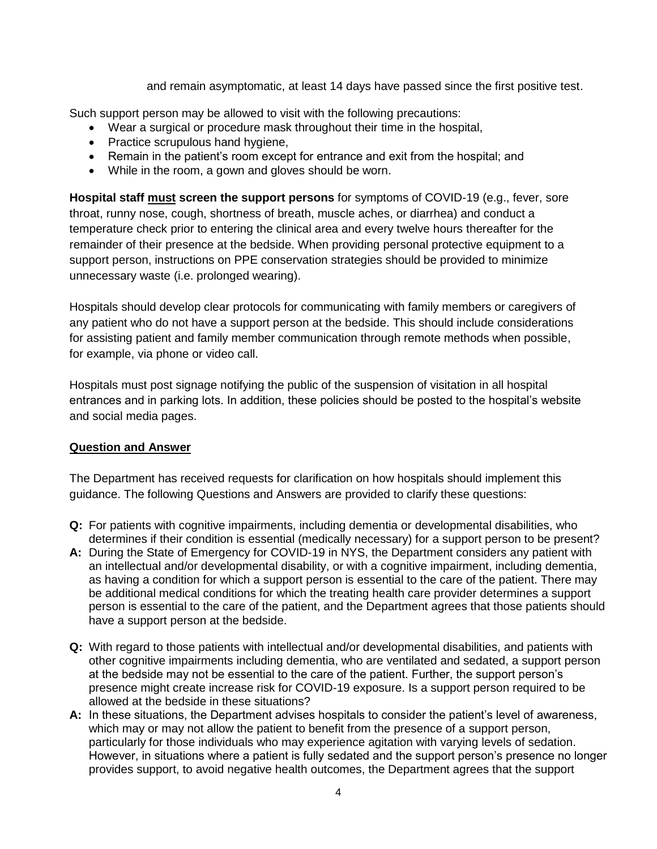and remain asymptomatic, at least 14 days have passed since the first positive test.

Such support person may be allowed to visit with the following precautions:

- Wear a surgical or procedure mask throughout their time in the hospital,
- Practice scrupulous hand hygiene,
- Remain in the patient's room except for entrance and exit from the hospital; and
- While in the room, a gown and gloves should be worn.

**Hospital staff must screen the support persons** for symptoms of COVID-19 (e.g., fever, sore throat, runny nose, cough, shortness of breath, muscle aches, or diarrhea) and conduct a temperature check prior to entering the clinical area and every twelve hours thereafter for the remainder of their presence at the bedside. When providing personal protective equipment to a support person, instructions on PPE conservation strategies should be provided to minimize unnecessary waste (i.e. prolonged wearing).

Hospitals should develop clear protocols for communicating with family members or caregivers of any patient who do not have a support person at the bedside. This should include considerations for assisting patient and family member communication through remote methods when possible, for example, via phone or video call.

Hospitals must post signage notifying the public of the suspension of visitation in all hospital entrances and in parking lots. In addition, these policies should be posted to the hospital's website and social media pages.

## **Question and Answer**

The Department has received requests for clarification on how hospitals should implement this guidance. The following Questions and Answers are provided to clarify these questions:

- **Q:** For patients with cognitive impairments, including dementia or developmental disabilities, who determines if their condition is essential (medically necessary) for a support person to be present?
- **A:** During the State of Emergency for COVID-19 in NYS, the Department considers any patient with an intellectual and/or developmental disability, or with a cognitive impairment, including dementia, as having a condition for which a support person is essential to the care of the patient. There may be additional medical conditions for which the treating health care provider determines a support person is essential to the care of the patient, and the Department agrees that those patients should have a support person at the bedside.
- **Q:** With regard to those patients with intellectual and/or developmental disabilities, and patients with other cognitive impairments including dementia, who are ventilated and sedated, a support person at the bedside may not be essential to the care of the patient. Further, the support person's presence might create increase risk for COVID-19 exposure. Is a support person required to be allowed at the bedside in these situations?
- **A:** In these situations, the Department advises hospitals to consider the patient's level of awareness, which may or may not allow the patient to benefit from the presence of a support person, particularly for those individuals who may experience agitation with varying levels of sedation. However, in situations where a patient is fully sedated and the support person's presence no longer provides support, to avoid negative health outcomes, the Department agrees that the support